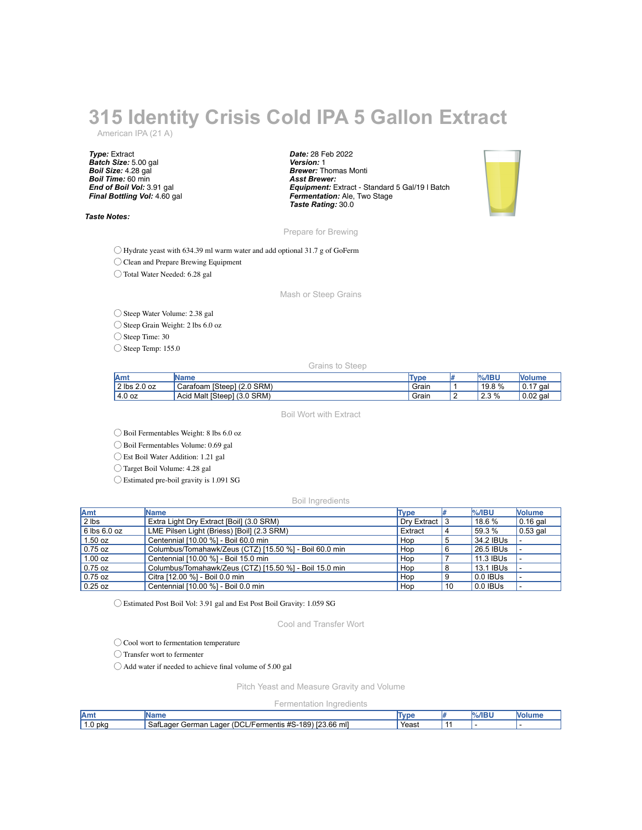## **315 Identity Crisis Cold IPA 5 Gallon Extract**

American IPA (21 A)

*Type:* Extract *Batch Size:* 5.00 gal *Boil Size:* 4.28 gal *Boil Time:* 60 min *End of Boil Vol:* 3.91 gal *Final Bottling Vol:* 4.60 gal

*Taste Notes:*

*Date:* 28 Feb 2022 *Version:* 1 *Brewer:* Thomas Monti *Asst Brewer: Equipment:* Extract - Standard 5 Gal/19 l Batch *Fermentation:* Ale, Two Stage *Taste Rating:* 30.0



Prepare for Brewing

◯ Hydrate yeast with 634.39 ml warm water and add optional 31.7 g of GoFerm

◯ Clean and Prepare Brewing Equipment

◯ Total Water Needed: 6.28 gal

Mash or Steep Grains

◯ Steep Water Volume: 2.38 gal

◯ Steep Grain Weight: 2 lbs 6.0 oz

◯ Steep Time: 30

◯ Steep Temp: 155.0

Grains to Steep

| lAmt           | IName                                                     | Type  | $%$ /IBU | <b>Volum</b> |
|----------------|-----------------------------------------------------------|-------|----------|--------------|
| $2$ lbs 2.0 oz | $(2.0$ SRM)<br>[Steep] (<br>Carafoam                      | Grair | 19.8 %   | ١ο.<br>qa    |
| 4.0 oz         | Malt [Steep]<br>SRM)<br><b>Acia</b><br>$\sqrt{2}$<br>(3.U | Grair | 2.3%     | $0.02$ gal   |

Boil Wort with Extract

◯ Boil Fermentables Weight: 8 lbs 6.0 oz

◯ Boil Fermentables Volume: 0.69 gal

◯ Est Boil Water Addition: 1.21 gal

◯ Target Boil Volume: 4.28 gal

◯ Estimated pre-boil gravity is 1.091 SG

Boil Ingredients

| Amt              | Name                                                   | Type          |    | $%$ /IBU  | <b>Nolume</b> |
|------------------|--------------------------------------------------------|---------------|----|-----------|---------------|
| $2$ lbs          | Extra Light Dry Extract [Boil] (3.0 SRM)               | Dry Extract 3 |    | 18.6 %    | $0.16$ gal    |
| $6$ lbs $6.0$ oz | LME Pilsen Light (Briess) [Boil] (2.3 SRM)             | Extract       |    | 59.3 %    | $0.53$ gal    |
| 1.50 oz          | Centennial [10.00 %] - Boil 60.0 min                   | Hop           |    | 34.2 IBUs |               |
| $0.75$ oz        | Columbus/Tomahawk/Zeus (CTZ) [15.50 %] - Boil 60.0 min | Hop           |    | 26.5 IBUs |               |
| 1.00 oz          | Centennial [10.00 %] - Boil 15.0 min                   | Hop           |    | 11.3 IBUs |               |
| $0.75$ oz        | Columbus/Tomahawk/Zeus (CTZ) [15.50 %] - Boil 15.0 min | Hop           |    | 13.1 IBUs |               |
| $0.75$ oz        | Citra [12.00 %] - Boil 0.0 min                         | Hop           |    | 0.0 IBUs  |               |
| $0.25$ oz        | Centennial [10.00 %] - Boil 0.0 min                    | Hop           | 10 | 0.0 IBUs  |               |

◯ Estimated Post Boil Vol: 3.91 gal and Est Post Boil Gravity: 1.059 SG

Cool and Transfer Wort

◯ Cool wort to fermentation temperature

◯ Transfer wort to fermenter

◯ Add water if needed to achieve final volume of 5.00 gal

Pitch Yeast and Measure Gravity and Volume

Fermentation Ingredients

| lAmt             | IN O<br>41 I V                                                                      | ١m<br>we | $- - - -$<br>$\sim$ | M |
|------------------|-------------------------------------------------------------------------------------|----------|---------------------|---|
| 1.0 <sub>b</sub> | (DCL/F<br>اM 23.66⊔،<br>S-189<br>, SafLager<br>German<br>∟ager<br>rem<br>mentis #S· | Yeast    |                     |   |